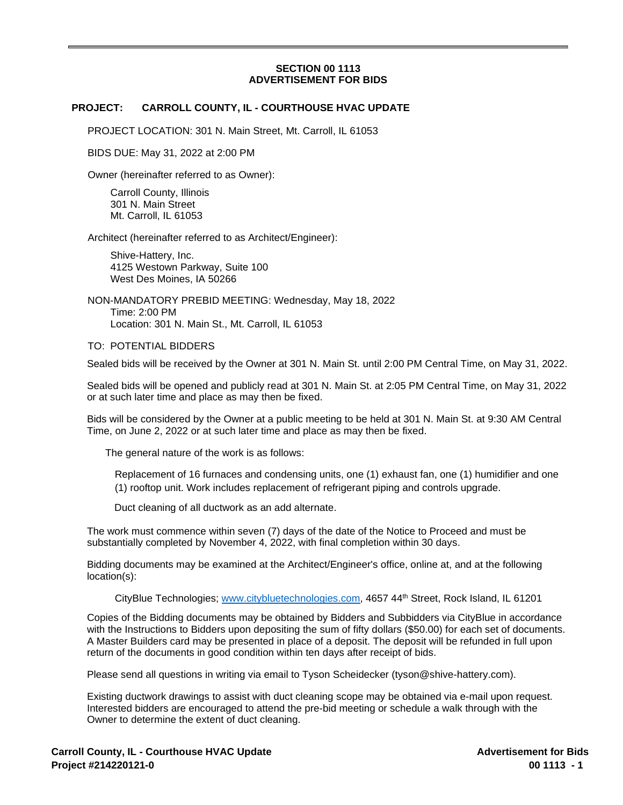## **SECTION 00 1113 ADVERTISEMENT FOR BIDS**

## **PROJECT: CARROLL COUNTY, IL - COURTHOUSE HVAC UPDATE**

PROJECT LOCATION: 301 N. Main Street, Mt. Carroll, IL 61053

BIDS DUE: May 31, 2022 at 2:00 PM

Owner (hereinafter referred to as Owner):

Carroll County, Illinois 301 N. Main Street Mt. Carroll, IL 61053

Architect (hereinafter referred to as Architect/Engineer):

Shive-Hattery, Inc. 4125 Westown Parkway, Suite 100 West Des Moines, IA 50266

NON-MANDATORY PREBID MEETING: Wednesday, May 18, 2022 Time: 2:00 PM Location: 301 N. Main St., Mt. Carroll, IL 61053

TO: POTENTIAL BIDDERS

Sealed bids will be received by the Owner at 301 N. Main St. until 2:00 PM Central Time, on May 31, 2022.

Sealed bids will be opened and publicly read at 301 N. Main St. at 2:05 PM Central Time, on May 31, 2022 or at such later time and place as may then be fixed.

Bids will be considered by the Owner at a public meeting to be held at 301 N. Main St. at 9:30 AM Central Time, on June 2, 2022 or at such later time and place as may then be fixed.

The general nature of the work is as follows:

Replacement of 16 furnaces and condensing units, one (1) exhaust fan, one (1) humidifier and one (1) rooftop unit. Work includes replacement of refrigerant piping and controls upgrade.

Duct cleaning of all ductwork as an add alternate.

The work must commence within seven (7) days of the date of the Notice to Proceed and must be substantially completed by November 4, 2022, with final completion within 30 days.

Bidding documents may be examined at the Architect/Engineer's office, online at, and at the following location(s):

CityBlue Technologies; [www.citybluetechnologies.com](http://www.citybluetechnologies.com/), 4657 44th Street, Rock Island, IL 61201

Copies of the Bidding documents may be obtained by Bidders and Subbidders via CityBlue in accordance with the Instructions to Bidders upon depositing the sum of fifty dollars (\$50.00) for each set of documents. A Master Builders card may be presented in place of a deposit. The deposit will be refunded in full upon return of the documents in good condition within ten days after receipt of bids.

Please send all questions in writing via email to Tyson Scheidecker (tyson@shive-hattery.com).

Existing ductwork drawings to assist with duct cleaning scope may be obtained via e-mail upon request. Interested bidders are encouraged to attend the pre-bid meeting or schedule a walk through with the Owner to determine the extent of duct cleaning.